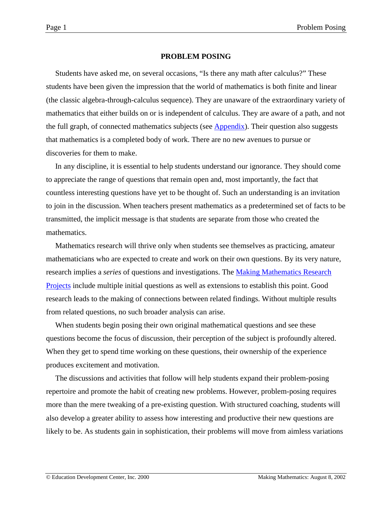#### **PROBLEM POSING**

Students have asked me, on several occasions, "Is there any math after calculus?" These students have been given the impression that the world of mathematics is both finite and linear (the classic algebra-through-calculus sequence). They are unaware of the extraordinary variety of mathematics that either builds on or is independent of calculus. They are aware of a path, and not the full graph, of connected mathematics subjects (see **Appendix**). Their question also suggests that mathematics is a completed body of work. There are no new avenues to pursue or discoveries for them to make.

In any discipline, it is essential to help students understand our ignorance. They should come to appreciate the range of questions that remain open and, most importantly, the fact that countless interesting questions have yet to be thought of. Such an understanding is an invitation to join in the discussion. When teachers present mathematics as a predetermined set of facts to be transmitted, the implicit message is that students are separate from those who created the mathematics.

Mathematics research will thrive only when students see themselves as practicing, amateur mathematicians who are expected to create and work on their own questions. By its very nature, research implies a *series* of questions and investigations. The [Making Mathematics Research](http://www2.edc.org/makingmath/mathproj.asp#rsproj) [Projects](http://www2.edc.org/makingmath/mathproj.asp#rsproj) include multiple initial questions as well as extensions to establish this point. Good research leads to the making of connections between related findings. Without multiple results from related questions, no such broader analysis can arise.

When students begin posing their own original mathematical questions and see these questions become the focus of discussion, their perception of the subject is profoundly altered. When they get to spend time working on these questions, their ownership of the experience produces excitement and motivation.

The discussions and activities that follow will help students expand their problem-posing repertoire and promote the habit of creating new problems. However, problem-posing requires more than the mere tweaking of a pre-existing question. With structured coaching, students will also develop a greater ability to assess how interesting and productive their new questions are likely to be. As students gain in sophistication, their problems will move from aimless variations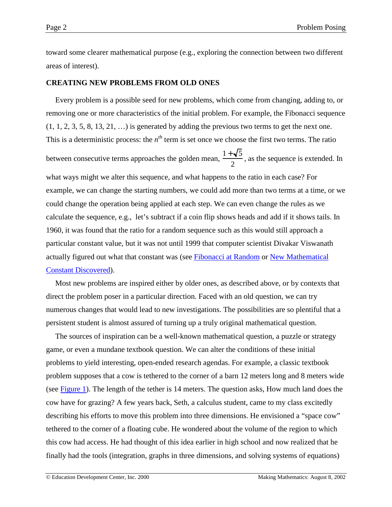<span id="page-1-0"></span>toward some clearer mathematical purpose (e.g., exploring the connection between two different areas of interest).

#### **CREATING NEW PROBLEMS FROM OLD ONES**

Every problem is a possible seed for new problems, which come from changing, adding to, or removing one or more characteristics of the initial problem. For example, the Fibonacci sequence  $(1, 1, 2, 3, 5, 8, 13, 21, ...)$  is generated by adding the previous two terms to get the next one. This is a deterministic process: the  $n<sup>th</sup>$  term is set once we choose the first two terms. The ratio between consecutive terms approaches the golden mean,  $\frac{1+\sqrt{5}}{2}$ , as the sequence is extended. In what ways might we alter this sequence, and what happens to the ratio in each case? For example, we can change the starting numbers, we could add more than two terms at a time, or we could change the operation being applied at each step. We can even change the rules as we calculate the sequence, e.g., let's subtract if a coin flip shows heads and add if it shows tails. In 1960, it was found that the ratio for a random sequence such as this would still approach a particular constant value, but it was not until 1999 that computer scientist Divakar Viswanath actually figured out what that constant was (see [Fibonacci at Random](http://www.sciencenews.org/sn_arc99/6_12_99/bob1.htm) or [New Mathematical](http://www.maa.org/devlin/devlin_3_99.html) [Constant Discovered\)](http://www.maa.org/devlin/devlin_3_99.html).

Most new problems are inspired either by older ones, as described above, or by contexts that direct the problem poser in a particular direction. Faced with an old question, we can try numerous changes that would lead to new investigations. The possibilities are so plentiful that a persistent student is almost assured of turning up a truly original mathematical question.

The sources of inspiration can be a well-known mathematical question, a puzzle or strategy game, or even a mundane textbook question. We can alter the conditions of these initial problems to yield interesting, open-ended research agendas. For example, a classic textbook problem supposes that a cow is tethered to the corner of a barn 12 meters long and 8 meters wide (see [Figure 1\)](#page-2-0). The length of the tether is  $14$  meters. The question asks, How much land does the cow have for grazing? A few years back, Seth, a calculus student, came to my class excitedly describing his efforts to move this problem into three dimensions. He envisioned a "space cow" tethered to the corner of a floating cube. He wondered about the volume of the region to which this cow had access. He had thought of this idea earlier in high school and now realized that he finally had the tools (integration, graphs in three dimensions, and solving systems of equations)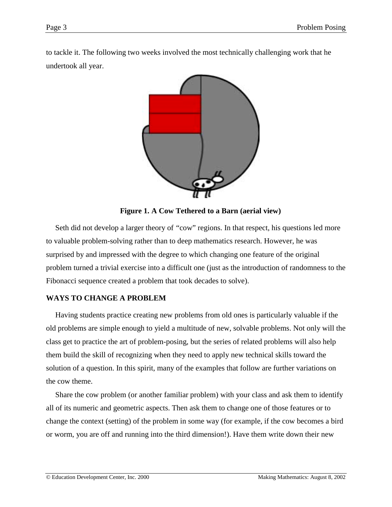<span id="page-2-0"></span>to tackle it. The following two weeks involved the most technically challenging work that he undertook all year.



**Figure 1. A Cow Tethered to a Barn (aerial view)**

Seth did not develop a larger theory of "cow" regions. In that respect, his questions led more to valuable problem-solving rather than to deep mathematics research. However, he was surprised by and impressed with the degree to which changing one feature of the original problem turned a trivial exercise into a difficult one (just as the introduction of randomness to the Fibonacci sequence created a problem that took decades to solve).

## **WAYS TO CHANGE A PROBLEM**

Having students practice creating new problems from old ones is particularly valuable if the old problems are simple enough to yield a multitude of new, solvable problems. Not only will the class get to practice the art of problem-posing, but the series of related problems will also help them build the skill of recognizing when they need to apply new technical skills toward the solution of a question. In this spirit, many of the examples that follow are further variations on the cow theme.

Share the cow problem (or another familiar problem) with your class and ask them to identify all of its numeric and geometric aspects. Then ask them to change one of those features or to change the context (setting) of the problem in some way (for example, if the cow becomes a bird or worm, you are off and running into the third dimension!). Have them write down their new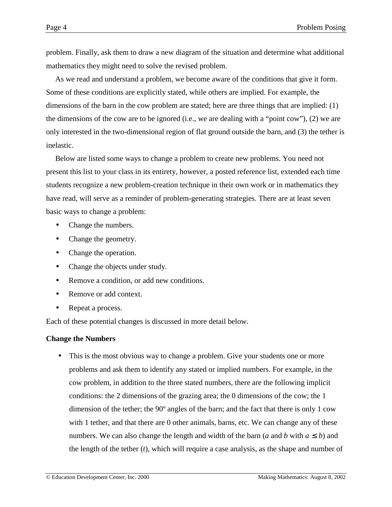problem. Finally, ask them to draw a new diagram of the situation and determine what additional mathematics they might need to solve the revised problem.

As we read and understand a problem, we become aware of the conditions that give it form. Some of these conditions are explicitly stated, while others are implied. For example, the dimensions of the barn in the cow problem are stated; here are three things that are implied: (1) the dimensions of the cow are to be ignored (i.e., we are dealing with a "point cow"), (2) we are only interested in the two-dimensional region of flat ground outside the barn, and (3) the tether is inelastic.

Below are listed some ways to change a problem to create new problems. You need not present this list to your class in its entirety, however, a posted reference list, extended each time students recognize a new problem-creation technique in their own work or in mathematics they have read, will serve as a reminder of problem-generating strategies. There are at least seven basic ways to change a problem:

- Change the numbers.
- Change the geometry.
- Change the operation.
- Change the objects under study.
- Remove a condition, or add new conditions.
- Remove or add context.
- Repeat a process.

Each of these potential changes is discussed in more detail below.

## **Change the Numbers**

This is the most obvious way to change a problem. Give your students one or more problems and ask them to identify any stated or implied numbers. For example, in the cow problem, in addition to the three stated numbers, there are the following implicit conditions: the 2 dimensions of the grazing area; the 0 dimensions of the cow; the 1 dimension of the tether; the 90º angles of the barn; and the fact that there is only 1 cow with 1 tether, and that there are 0 other animals, barns, etc. We can change any of these numbers. We can also change the length and width of the barn (*a* and *b* with  $a \leq b$ ) and the length of the tether (*t*), which will require a case analysis, as the shape and number of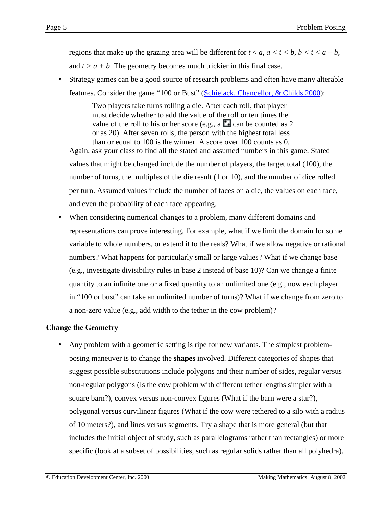regions that make up the grazing area will be different for  $t < a$ ,  $a < t < b$ ,  $b < t < a + b$ , and  $t > a + b$ . The geometry becomes much trickier in this final case.

• Strategy games can be a good source of research problems and often have many alterable features. Consider the game "100 or Bust" [\(Schielack, Chancellor, & Childs 2000\)](#page-17-0):

> Two players take turns rolling a die. After each roll, that player must decide whether to add the value of the roll or ten times the value of the roll to his or her score (e.g., a  $\Box$  can be counted as 2 or as 20). After seven rolls, the person with the highest total less than or equal to 100 is the winner. A score over 100 counts as 0.

Again, ask your class to find all the stated and assumed numbers in this game. Stated values that might be changed include the number of players, the target total (100), the number of turns, the multiples of the die result (1 or 10), and the number of dice rolled per turn. Assumed values include the number of faces on a die, the values on each face, and even the probability of each face appearing.

• When considering numerical changes to a problem, many different domains and representations can prove interesting. For example, what if we limit the domain for some variable to whole numbers, or extend it to the reals? What if we allow negative or rational numbers? What happens for particularly small or large values? What if we change base (e.g., investigate divisibility rules in base 2 instead of base 10)? Can we change a finite quantity to an infinite one or a fixed quantity to an unlimited one (e.g., now each player in "100 or bust" can take an unlimited number of turns)? What if we change from zero to a non-zero value (e.g., add width to the tether in the cow problem)?

## **Change the Geometry**

• Any problem with a geometric setting is ripe for new variants. The simplest problemposing maneuver is to change the **shapes** involved. Different categories of shapes that suggest possible substitutions include polygons and their number of sides, regular versus non-regular polygons (Is the cow problem with different tether lengths simpler with a square barn?), convex versus non-convex figures (What if the barn were a star?), polygonal versus curvilinear figures (What if the cow were tethered to a silo with a radius of 10 meters?), and lines versus segments. Try a shape that is more general (but that includes the initial object of study, such as parallelograms rather than rectangles) or more specific (look at a subset of possibilities, such as regular solids rather than all polyhedra).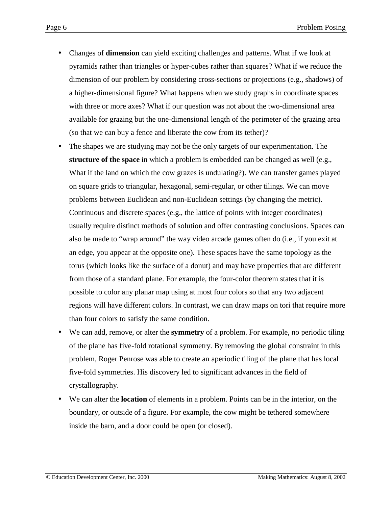- Changes of **dimension** can yield exciting challenges and patterns. What if we look at pyramids rather than triangles or hyper-cubes rather than squares? What if we reduce the dimension of our problem by considering cross-sections or projections (e.g., shadows) of a higher-dimensional figure? What happens when we study graphs in coordinate spaces with three or more axes? What if our question was not about the two-dimensional area available for grazing but the one-dimensional length of the perimeter of the grazing area (so that we can buy a fence and liberate the cow from its tether)?
- The shapes we are studying may not be the only targets of our experimentation. The **structure of the space** in which a problem is embedded can be changed as well (e.g., What if the land on which the cow grazes is undulating?). We can transfer games played on square grids to triangular, hexagonal, semi-regular, or other tilings. We can move problems between Euclidean and non-Euclidean settings (by changing the metric). Continuous and discrete spaces (e.g., the lattice of points with integer coordinates) usually require distinct methods of solution and offer contrasting conclusions. Spaces can also be made to "wrap around" the way video arcade games often do (i.e., if you exit at an edge, you appear at the opposite one). These spaces have the same topology as the torus (which looks like the surface of a donut) and may have properties that are different from those of a standard plane. For example, the four-color theorem states that it is possible to color any planar map using at most four colors so that any two adjacent regions will have different colors. In contrast, we can draw maps on tori that require more than four colors to satisfy the same condition.
- We can add, remove, or alter the **symmetry** of a problem. For example, no periodic tiling of the plane has five-fold rotational symmetry. By removing the global constraint in this problem, Roger Penrose was able to create an aperiodic tiling of the plane that has local five-fold symmetries. His discovery led to significant advances in the field of crystallography.
- We can alter the **location** of elements in a problem. Points can be in the interior, on the boundary, or outside of a figure. For example, the cow might be tethered somewhere inside the barn, and a door could be open (or closed).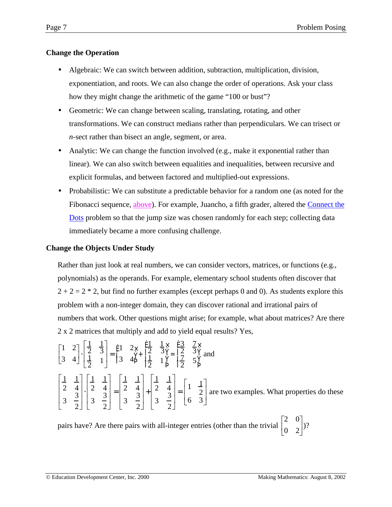## **Change the Operation**

- Algebraic: We can switch between addition, subtraction, multiplication, division, exponentiation, and roots. We can also change the order of operations. Ask your class how they might change the arithmetic of the game "100 or bust"?
- Geometric: We can change between scaling, translating, rotating, and other transformations. We can construct medians rather than perpendiculars. We can trisect or *n*-sect rather than bisect an angle, segment, or area.
- Analytic: We can change the function involved (e.g., make it exponential rather than linear). We can also switch between equalities and inequalities, between recursive and explicit formulas, and between factored and multiplied-out expressions.
- Probabilistic: We can substitute a predictable behavior for a random one (as noted for the Fibonacci sequence, [above\)](#page-1-0). For example, Juancho, a fifth grader, altered the [Connect the](http://www2.edc.org/makingmath/mathsettings/connect/connect.asp) [Dots](http://www2.edc.org/makingmath/mathsettings/connect/connect.asp) problem so that the jump size was chosen randomly for each step; collecting data immediately became a more confusing challenge.

## **Change the Objects Under Study**

Rather than just look at real numbers, we can consider vectors, matrices, or functions (e.g., polynomials) as the operands. For example, elementary school students often discover that  $2 + 2 = 2 * 2$ , but find no further examples (except perhaps 0 and 0). As students explore this problem with a non-integer domain, they can discover rational and irrational pairs of numbers that work. Other questions might arise; for example, what about matrices? Are there 2 x 2 matrices that multiply and add to yield equal results? Yes,

$$
\begin{bmatrix} 1 & 2 \\ 3 & 4 \end{bmatrix} \cdot \begin{bmatrix} \frac{1}{2} & \frac{1}{3} \\ \frac{1}{2} & 1 \end{bmatrix} = \begin{bmatrix} 1 & 2_x & \frac{1}{2} & \frac{1}{3}x \\ 3 & 4\frac{y}{2} + \frac{1}{2} & 3\frac{y}{2} \\ \frac{1}{2} & 1\frac{y}{2} + \frac{1}{2} & 1\frac{y}{2} \end{bmatrix} \begin{bmatrix} \frac{1}{2} & \frac{1}{3}x \\ \frac{1}{2} & 1\frac{y}{2} \end{bmatrix} = \begin{bmatrix} \frac{1}{2} & \frac{1}{3}x \\ \frac{1}{2} & 1\frac{y}{2} \end{bmatrix} + \begin{bmatrix} \frac{1}{2} & \frac{1}{3} \\ \frac{1}{3} & \frac{1}{2} \end{bmatrix} = \begin{bmatrix} 1 & \frac{1}{2} \\ 6 & 3 \end{bmatrix}
$$
 are two examples. What properties do these

pairs have? Are there pairs with all-integer entries (other than the trivial 2 0 0 2 F - $\begin{bmatrix} 2 & 0 \\ 0 & 2 \end{bmatrix}$  $\overline{\phantom{a}}$  $\vert$ )?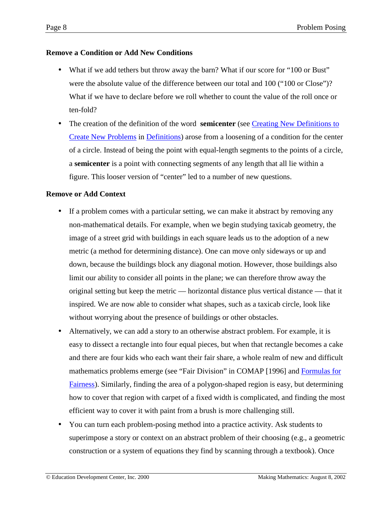## **Remove a Condition or Add New Conditions**

- What if we add tethers but throw away the barn? What if our score for "100 or Bust" were the absolute value of the difference between our total and 100 ("100 or Close")? What if we have to declare before we roll whether to count the value of the roll once or ten-fold?
- The creation of the definition of the word **semicenter** (see [Creating New Definitions to](http://www2.edc.org/makingmath/handbook/teacher/Definitions/Definitions.asp#CreatingNewDefinitions) [Create New Problems](http://www2.edc.org/makingmath/handbook/teacher/Definitions/Definitions.asp#CreatingNewDefinitions) in [Definitions\)](http://www2.edc.org/makingmath/handbook/teacher/Definitions/Definitions.asp) arose from a loosening of a condition for the center of a circle. Instead of being the point with equal-length segments to the points of a circle, a **semicenter** is a point with connecting segments of any length that all lie within a figure. This looser version of "center" led to a number of new questions.

#### **Remove or Add Context**

- If a problem comes with a particular setting, we can make it abstract by removing any non-mathematical details. For example, when we begin studying taxicab geometry, the image of a street grid with buildings in each square leads us to the adoption of a new metric (a method for determining distance). One can move only sideways or up and down, because the buildings block any diagonal motion. However, those buildings also limit our ability to consider all points in the plane; we can therefore throw away the original setting but keep the metric — horizontal distance plus vertical distance — that it inspired. We are now able to consider what shapes, such as a taxicab circle, look like without worrying about the presence of buildings or other obstacles.
- Alternatively, we can add a story to an otherwise abstract problem. For example, it is easy to dissect a rectangle into four equal pieces, but when that rectangle becomes a cake and there are four kids who each want their fair share, a whole realm of new and difficult mathematics problems emerge (see "Fair Division" in COMAP [1996] and [Formulas for](http://www.sciencenews.org/sn_arch/5_4_96/bob1.htm) [Fairness\)](http://www.sciencenews.org/sn_arch/5_4_96/bob1.htm). Similarly, finding the area of a polygon-shaped region is easy, but determining how to cover that region with carpet of a fixed width is complicated, and finding the most efficient way to cover it with paint from a brush is more challenging still.
- You can turn each problem-posing method into a practice activity. Ask students to superimpose a story or context on an abstract problem of their choosing (e.g., a geometric construction or a system of equations they find by scanning through a textbook). Once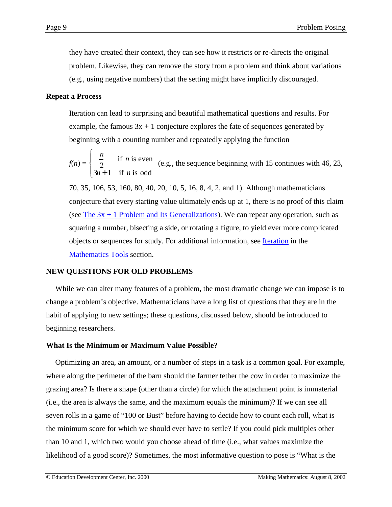they have created their context, they can see how it restricts or re-directs the original problem. Likewise, they can remove the story from a problem and think about variations (e.g., using negative numbers) that the setting might have implicitly discouraged.

#### **Repeat a Process**

Iteration can lead to surprising and beautiful mathematical questions and results. For example, the famous  $3x + 1$  conjecture explores the fate of sequences generated by beginning with a counting number and repeatedly applying the function

$$
f(n) = \begin{cases} \frac{n}{2} & \text{if } n \text{ is even} \\ 3n+1 & \text{if } n \text{ is odd} \end{cases} \text{ (e.g., the sequence beginning with 15 continues with 46, 23,}
$$

70, 35, 106, 53, 160, 80, 40, 20, 10, 5, 16, 8, 4, 2, and 1). Although mathematicians conjecture that every starting value ultimately ends up at 1, there is no proof of this claim (see The  $3x + 1$  Problem and Its Generalizations). We can repeat any operation, such as squaring a number, bisecting a side, or rotating a figure, to yield ever more complicated objects or sequences for study. For additional information, see Iteration in the [Mathematics Tools](http://www2.edc.org/makingmath/mathproj.asp#rstool) section.

#### **NEW QUESTIONS FOR OLD PROBLEMS**

While we can alter many features of a problem, the most dramatic change we can impose is to change a problem's objective. Mathematicians have a long list of questions that they are in the habit of applying to new settings; these questions, discussed below, should be introduced to beginning researchers.

#### **What Is the Minimum or Maximum Value Possible?**

Optimizing an area, an amount, or a number of steps in a task is a common goal. For example, where along the perimeter of the barn should the farmer tether the cow in order to maximize the grazing area? Is there a shape (other than a circle) for which the attachment point is immaterial (i.e., the area is always the same, and the maximum equals the minimum)? If we can see all seven rolls in a game of "100 or Bust" before having to decide how to count each roll, what is the minimum score for which we should ever have to settle? If you could pick multiples other than 10 and 1, which two would you choose ahead of time (i.e., what values maximize the likelihood of a good score)? Sometimes, the most informative question to pose is "What is the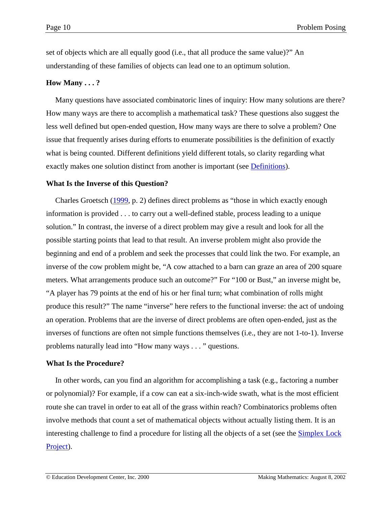set of objects which are all equally good (i.e., that all produce the same value)?" An understanding of these families of objects can lead one to an optimum solution.

### **How Many . . . ?**

Many questions have associated combinatoric lines of inquiry: How many solutions are there? How many ways are there to accomplish a mathematical task? These questions also suggest the less well defined but open-ended question, How many ways are there to solve a problem? One issue that frequently arises during efforts to enumerate possibilities is the definition of exactly what is being counted. Different definitions yield different totals, so clarity regarding what exactly makes one solution distinct from another is important (see [Definitions\)](http://www2.edc.org/makingmath/handbook/teacher/Definitions/Definitions.asp).

#### **What Is the Inverse of this Question?**

Charles Groetsch [\(1999,](#page-17-0) p. 2) defines direct problems as "those in which exactly enough information is provided . . . to carry out a well-defined stable, process leading to a unique solution." In contrast, the inverse of a direct problem may give a result and look for all the possible starting points that lead to that result. An inverse problem might also provide the beginning and end of a problem and seek the processes that could link the two. For example, an inverse of the cow problem might be, "A cow attached to a barn can graze an area of 200 square meters. What arrangements produce such an outcome?" For "100 or Bust," an inverse might be, "A player has 79 points at the end of his or her final turn; what combination of rolls might produce this result?" The name "inverse" here refers to the functional inverse: the act of undoing an operation. Problems that are the inverse of direct problems are often open-ended, just as the inverses of functions are often not simple functions themselves (i.e., they are not 1-to-1). Inverse problems naturally lead into "How many ways . . . " questions.

#### **What Is the Procedure?**

In other words, can you find an algorithm for accomplishing a task (e.g., factoring a number or polynomial)? For example, if a cow can eat a six-inch-wide swath, what is the most efficient route she can travel in order to eat all of the grass within reach? Combinatorics problems often involve methods that count a set of mathematical objects without actually listing them. It is an interesting challenge to find a procedure for listing all the objects of a set (see the [Simplex Lock](http://www2.edc.org/makingmath/mathprojects/simplex/simplex.asp) [Project\)](http://www2.edc.org/makingmath/mathprojects/simplex/simplex.asp).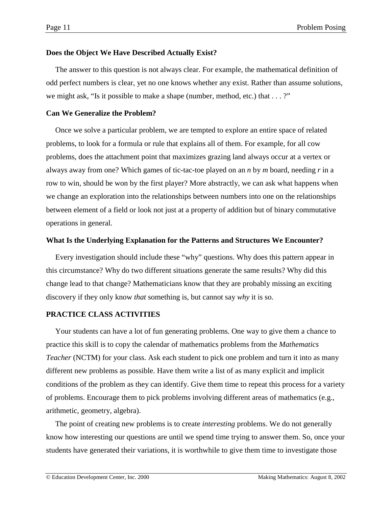### **Does the Object We Have Described Actually Exist?**

The answer to this question is not always clear. For example, the mathematical definition of odd perfect numbers is clear, yet no one knows whether any exist. Rather than assume solutions, we might ask, "Is it possible to make a shape (number, method, etc.) that  $\dots$ ?"

#### **Can We Generalize the Problem?**

Once we solve a particular problem, we are tempted to explore an entire space of related problems, to look for a formula or rule that explains all of them. For example, for all cow problems, does the attachment point that maximizes grazing land always occur at a vertex or always away from one? Which games of tic-tac-toe played on an *n* by *m* board, needing *r* in a row to win, should be won by the first player? More abstractly, we can ask what happens when we change an exploration into the relationships between numbers into one on the relationships between element of a field or look not just at a property of addition but of binary commutative operations in general.

#### **What Is the Underlying Explanation for the Patterns and Structures We Encounter?**

Every investigation should include these "why" questions. Why does this pattern appear in this circumstance? Why do two different situations generate the same results? Why did this change lead to that change? Mathematicians know that they are probably missing an exciting discovery if they only know *that* something is, but cannot say *why* it is so.

#### **PRACTICE CLASS ACTIVITIES**

Your students can have a lot of fun generating problems. One way to give them a chance to practice this skill is to copy the calendar of mathematics problems from the *Mathematics Teacher* (NCTM) for your class. Ask each student to pick one problem and turn it into as many different new problems as possible. Have them write a list of as many explicit and implicit conditions of the problem as they can identify. Give them time to repeat this process for a variety of problems. Encourage them to pick problems involving different areas of mathematics (e.g., arithmetic, geometry, algebra).

The point of creating new problems is to create *interesting* problems. We do not generally know how interesting our questions are until we spend time trying to answer them. So, once your students have generated their variations, it is worthwhile to give them time to investigate those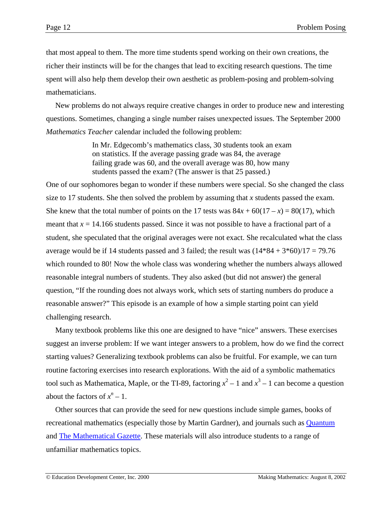that most appeal to them. The more time students spend working on their own creations, the richer their instincts will be for the changes that lead to exciting research questions. The time spent will also help them develop their own aesthetic as problem-posing and problem-solving mathematicians.

New problems do not always require creative changes in order to produce new and interesting questions. Sometimes, changing a single number raises unexpected issues. The September 2000 *Mathematics Teacher* calendar included the following problem:

> In Mr. Edgecomb's mathematics class, 30 students took an exam on statistics. If the average passing grade was 84, the average failing grade was 60, and the overall average was 80, how many students passed the exam? (The answer is that 25 passed.)

One of our sophomores began to wonder if these numbers were special. So she changed the class size to 17 students. She then solved the problem by assuming that *x* students passed the exam. She knew that the total number of points on the 17 tests was  $84x + 60(17 - x) = 80(17)$ , which meant that  $x = 14.166$  students passed. Since it was not possible to have a fractional part of a student, she speculated that the original averages were not exact. She recalculated what the class average would be if 14 students passed and 3 failed; the result was  $(14*84 + 3*60)/17 = 79.76$ which rounded to 80! Now the whole class was wondering whether the numbers always allowed reasonable integral numbers of students. They also asked (but did not answer) the general question, "If the rounding does not always work, which sets of starting numbers do produce a reasonable answer?" This episode is an example of how a simple starting point can yield challenging research.

Many textbook problems like this one are designed to have "nice" answers. These exercises suggest an inverse problem: If we want integer answers to a problem, how do we find the correct starting values? Generalizing textbook problems can also be fruitful. For example, we can turn routine factoring exercises into research explorations. With the aid of a symbolic mathematics tool such as Mathematica, Maple, or the TI-89, factoring  $x^2 - 1$  and  $x^3 - 1$  can become a question about the factors of  $x^n - 1$ .

Other sources that can provide the seed for new questions include simple games, books of recreational mathematics (especially those by Martin Gardner), and journals such as [Quantum](http://www.nsta.org/quantum/) and [The Mathematical Gazette.](http://www.m-a.org.uk/eb/periods.htm) These materials will also introduce students to a range of unfamiliar mathematics topics.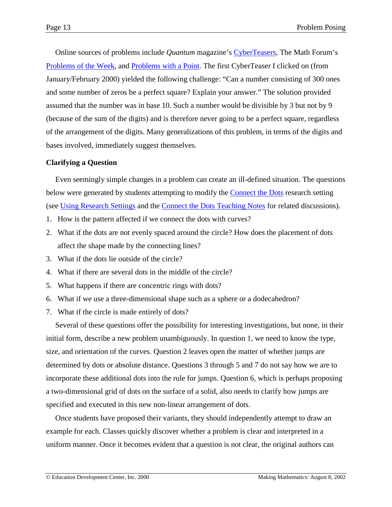Online sources of problems include *Quantum* magazine's [CyberTeasers,](http://www.nsta.org/quantum/cyberarc.asp) The Math Forum's [Problems of the Week,](http://mathforum.com/pow) and [Problems with a Point.](http://www2.edc.org/mathproblems) The first CyberTeaser I clicked on (from January/February 2000) yielded the following challenge: "Can a number consisting of 300 ones and some number of zeros be a perfect square? Explain your answer." The solution provided assumed that the number was in base 10. Such a number would be divisible by 3 but not by 9 (because of the sum of the digits) and is therefore never going to be a perfect square, regardless of the arrangement of the digits. Many generalizations of this problem, in terms of the digits and bases involved, immediately suggest themselves.

#### **Clarifying a Question**

Even seemingly simple changes in a problem can create an ill-defined situation. The questions below were generated by students attempting to modify the [Connect the Dots](http://www2.edc.org/makingmath/mathsettings/connect/connect.asp) research setting (see [Using Research Settings](#page-15-0) and the [Connect the Dots Teaching Notes](http://www2.edc.org/makingmath/mathsettings/connect/ConnectTheDots_TeachNotes.asp) for related discussions).

- 1. How is the pattern affected if we connect the dots with curves?
- 2. What if the dots are not evenly spaced around the circle? How does the placement of dots affect the shape made by the connecting lines?
- 3. What if the dots lie outside of the circle?
- 4. What if there are several dots in the middle of the circle?
- 5. What happens if there are concentric rings with dots?
- 6. What if we use a three-dimensional shape such as a sphere or a dodecahedron?
- 7. What if the circle is made entirely of dots?

Several of these questions offer the possibility for interesting investigations, but none, in their initial form, describe a new problem unambiguously. In question 1, we need to know the type, size, and orientation of the curves. Question 2 leaves open the matter of whether jumps are determined by dots or absolute distance. Questions 3 through 5 and 7 do not say how we are to incorporate these additional dots into the rule for jumps. Question 6, which is perhaps proposing a two-dimensional grid of dots on the surface of a solid, also needs to clarify how jumps are specified and executed in this new non-linear arrangement of dots.

Once students have proposed their variants, they should independently attempt to draw an example for each. Classes quickly discover whether a problem is clear and interpreted in a uniform manner. Once it becomes evident that a question is not clear, the original authors can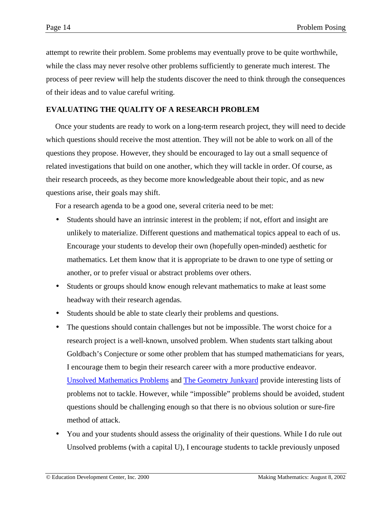attempt to rewrite their problem. Some problems may eventually prove to be quite worthwhile, while the class may never resolve other problems sufficiently to generate much interest. The process of peer review will help the students discover the need to think through the consequences of their ideas and to value careful writing.

#### **EVALUATING THE QUALITY OF A RESEARCH PROBLEM**

Once your students are ready to work on a long-term research project, they will need to decide which questions should receive the most attention. They will not be able to work on all of the questions they propose. However, they should be encouraged to lay out a small sequence of related investigations that build on one another, which they will tackle in order. Of course, as their research proceeds, as they become more knowledgeable about their topic, and as new questions arise, their goals may shift.

For a research agenda to be a good one, several criteria need to be met:

- Students should have an intrinsic interest in the problem; if not, effort and insight are unlikely to materialize. Different questions and mathematical topics appeal to each of us. Encourage your students to develop their own (hopefully open-minded) aesthetic for mathematics. Let them know that it is appropriate to be drawn to one type of setting or another, or to prefer visual or abstract problems over others.
- Students or groups should know enough relevant mathematics to make at least some headway with their research agendas.
- Students should be able to state clearly their problems and questions.
- The questions should contain challenges but not be impossible. The worst choice for a research project is a well-known, unsolved problem. When students start talking about Goldbach's Conjecture or some other problem that has stumped mathematicians for years, I encourage them to begin their research career with a more productive endeavor. [Unsolved Mathematics Problems](http://www.mathsoft.com/asolve/index.html) and [The Geometry Junkyard](http://www.ics.uci.edu/~eppstein/junkyard/open.html) provide interesting lists of problems not to tackle. However, while "impossible" problems should be avoided, student questions should be challenging enough so that there is no obvious solution or sure-fire method of attack.
- You and your students should assess the originality of their questions. While I do rule out Unsolved problems (with a capital U), I encourage students to tackle previously unposed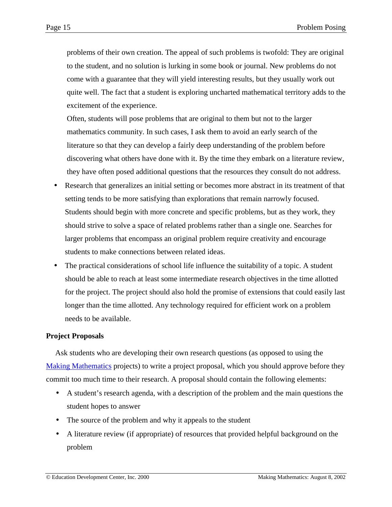problems of their own creation. The appeal of such problems is twofold: They are original to the student, and no solution is lurking in some book or journal. New problems do not come with a guarantee that they will yield interesting results, but they usually work out quite well. The fact that a student is exploring uncharted mathematical territory adds to the excitement of the experience.

Often, students will pose problems that are original to them but not to the larger mathematics community. In such cases, I ask them to avoid an early search of the literature so that they can develop a fairly deep understanding of the problem before discovering what others have done with it. By the time they embark on a literature review, they have often posed additional questions that the resources they consult do not address.

- Research that generalizes an initial setting or becomes more abstract in its treatment of that setting tends to be more satisfying than explorations that remain narrowly focused. Students should begin with more concrete and specific problems, but as they work, they should strive to solve a space of related problems rather than a single one. Searches for larger problems that encompass an original problem require creativity and encourage students to make connections between related ideas.
- The practical considerations of school life influence the suitability of a topic. A student should be able to reach at least some intermediate research objectives in the time allotted for the project. The project should also hold the promise of extensions that could easily last longer than the time allotted. Any technology required for efficient work on a problem needs to be available.

#### **Project Proposals**

Ask students who are developing their own research questions (as opposed to using the [Making Mathematics](http://www2.edc.org/makingmath/mathproj.asp) projects) to write a project proposal, which you should approve before they commit too much time to their research. A proposal should contain the following elements:

- A student's research agenda, with a description of the problem and the main questions the student hopes to answer
- The source of the problem and why it appeals to the student
- A literature review (if appropriate) of resources that provided helpful background on the problem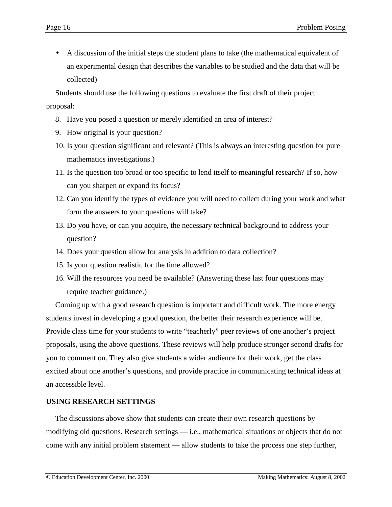<span id="page-15-0"></span>• A discussion of the initial steps the student plans to take (the mathematical equivalent of an experimental design that describes the variables to be studied and the data that will be collected)

Students should use the following questions to evaluate the first draft of their project proposal:

- 8. Have you posed a question or merely identified an area of interest?
- 9. How original is your question?
- 10. Is your question significant and relevant? (This is always an interesting question for pure mathematics investigations.)
- 11. Is the question too broad or too specific to lend itself to meaningful research? If so, how can you sharpen or expand its focus?
- 12. Can you identify the types of evidence you will need to collect during your work and what form the answers to your questions will take?
- 13. Do you have, or can you acquire, the necessary technical background to address your question?
- 14. Does your question allow for analysis in addition to data collection?
- 15. Is your question realistic for the time allowed?
- 16. Will the resources you need be available? (Answering these last four questions may require teacher guidance.)

Coming up with a good research question is important and difficult work. The more energy students invest in developing a good question, the better their research experience will be. Provide class time for your students to write "teacherly" peer reviews of one another's project proposals, using the above questions. These reviews will help produce stronger second drafts for you to comment on. They also give students a wider audience for their work, get the class excited about one another's questions, and provide practice in communicating technical ideas at an accessible level.

## **USING RESEARCH SETTINGS**

The discussions above show that students can create their own research questions by modifying old questions. Research settings — i.e., mathematical situations or objects that do not come with any initial problem statement — allow students to take the process one step further,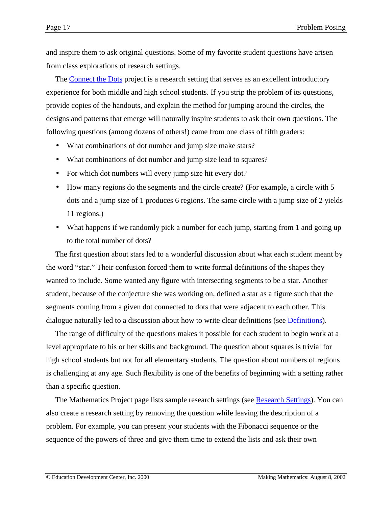and inspire them to ask original questions. Some of my favorite student questions have arisen from class explorations of research settings.

The [Connect the Dots](http://www2.edc.org/makingmath/mathsettings/connect/connect.asp) project is a research setting that serves as an excellent introductory experience for both middle and high school students. If you strip the problem of its questions, provide copies of the handouts, and explain the method for jumping around the circles, the designs and patterns that emerge will naturally inspire students to ask their own questions. The following questions (among dozens of others!) came from one class of fifth graders:

- What combinations of dot number and jump size make stars?
- What combinations of dot number and jump size lead to squares?
- For which dot numbers will every jump size hit every dot?
- How many regions do the segments and the circle create? (For example, a circle with 5 dots and a jump size of 1 produces 6 regions. The same circle with a jump size of 2 yields 11 regions.)
- What happens if we randomly pick a number for each jump, starting from 1 and going up to the total number of dots?

The first question about stars led to a wonderful discussion about what each student meant by the word "star." Their confusion forced them to write formal definitions of the shapes they wanted to include. Some wanted any figure with intersecting segments to be a star. Another student, because of the conjecture she was working on, defined a star as a figure such that the segments coming from a given dot connected to dots that were adjacent to each other. This dialogue naturally led to a discussion about how to write clear definitions (see [Definitions\)](http://www2.edc.org/makingmath/handbook/teacher/Definitions/Definitions.asp).

The range of difficulty of the questions makes it possible for each student to begin work at a level appropriate to his or her skills and background. The question about squares is trivial for high school students but not for all elementary students. The question about numbers of regions is challenging at any age. Such flexibility is one of the benefits of beginning with a setting rather than a specific question.

The Mathematics Project page lists sample research settings (see [Research Settings\)](http://www2.edc.org/makingmath/mathproj.asp##rssett). You can also create a research setting by removing the question while leaving the description of a problem. For example, you can present your students with the Fibonacci sequence or the sequence of the powers of three and give them time to extend the lists and ask their own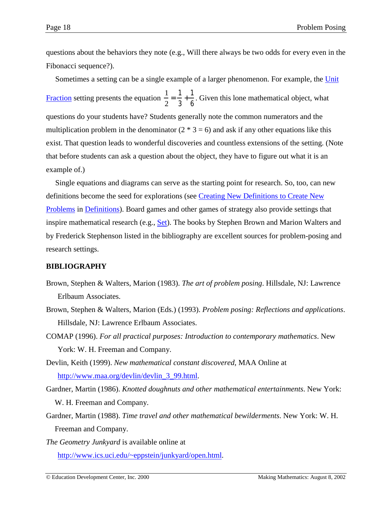<span id="page-17-0"></span>questions about the behaviors they note (e.g., Will there always be two odds for every even in the Fibonacci sequence?).

Sometimes a setting can be a single example of a larger phenomenon. For example, the [Unit](http://www2.edc.org/makingmath/mathsettings/UnitFractions/UnitFractions.asp) [Fraction](http://www2.edc.org/makingmath/mathsettings/UnitFractions/UnitFractions.asp) setting presents the equation  $\frac{1}{2}$ 2  $=\frac{1}{2}$ 3  $+\frac{1}{4}$ 6 . Given this lone mathematical object, what questions do your students have? Students generally note the common numerators and the multiplication problem in the denominator  $(2 * 3 = 6)$  and ask if any other equations like this exist. That question leads to wonderful discoveries and countless extensions of the setting. (Note that before students can ask a question about the object, they have to figure out what it is an example of.)

Single equations and diagrams can serve as the starting point for research. So, too, can new definitions become the seed for explorations (see *Creating New Definitions to Create New* [Problems](http://www2.edc.org/makingmath/handbook/teacher/Definitions/Definitions.asp#CreatingNewDefinitions) in [Definitions\)](http://www2.edc.org/makingmath/handbook/teacher/Definitions/Definitions.asp). Board games and other games of strategy also provide settings that inspire mathematical research (e.g., [Set\)](http://www2.edc.org/makingmath/mathprojects/gameOfSet/Set.asp). The books by Stephen Brown and Marion Walters and by Frederick Stephenson listed in the bibliography are excellent sources for problem-posing and research settings.

#### **BIBLIOGRAPHY**

- Brown, Stephen & Walters, Marion (1983). *The art of problem posing*. Hillsdale, NJ: Lawrence Erlbaum Associates.
- Brown, Stephen & Walters, Marion (Eds.) (1993). *Problem posing: Reflections and applications*. Hillsdale, NJ: Lawrence Erlbaum Associates.
- COMAP (1996). *For all practical purposes: Introduction to contemporary mathematics*. New York: W. H. Freeman and Company.
- Devlin, Keith (1999). *New mathematical constant discovered*, MAA Online at [http://www.maa.org/devlin/devlin\\_3\\_99.html.](http://www.maa.org/devlin/devlin_3_99.html)

Gardner, Martin (1986). *Knotted doughnuts and other mathematical entertainments*. New York: W. H. Freeman and Company.

- Gardner, Martin (1988). *Time travel and other mathematical bewilderments*. New York: W. H. Freeman and Company.
- *The Geometry Junkyard* is available online at

[http://www.ics.uci.edu/~eppstein/junkyard/open.html.](http://www.ics.uci.edu/~eppstein/junkyard/open.html)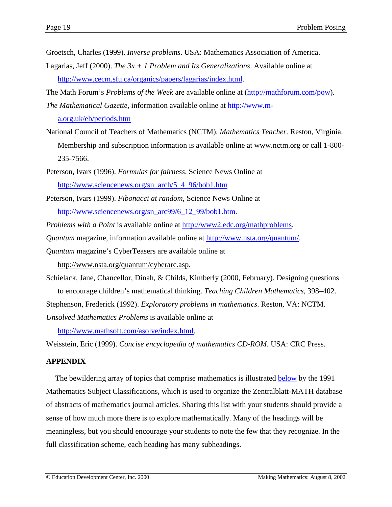<span id="page-18-0"></span>Groetsch, Charles (1999). *Inverse problems*. USA: Mathematics Association of America.

Lagarias, Jeff (2000). *The 3x + 1 Problem and Its Generalizations*. Available online at [http://www.cecm.sfu.ca/organics/papers/lagarias/index.html.](http://www.cecm.sfu.ca/organics/papers/lagarias/index.html)

The Math Forum's *Problems of the Week* are available online at [\(http://mathforum.com/pow\)](http://mathforum.com/pow).

- *The Mathematical Gazette*, information available online at [http://www.m](http://www.m-a.org.uk/eb/periods.htm)[a.org.uk/eb/periods.htm](http://www.m-a.org.uk/eb/periods.htm)
- National Council of Teachers of Mathematics (NCTM). *Mathematics Teacher.* Reston, Virginia. Membership and subscription information is available online at www.nctm.org or call 1-800- 235-7566.
- Peterson, Ivars (1996). *Formulas for fairness*, Science News Online at [http://www.sciencenews.org/sn\\_arch/5\\_4\\_96/bob1.htm](http://www.sciencenews.org/sn_arch/5_4_96/bob1.htm)
- Peterson, Ivars (1999). *Fibonacci at random*, Science News Online at [http://www.sciencenews.org/sn\\_arc99/6\\_12\\_99/bob1.htm.](http://www.sciencenews.org/sn_arc99/6_12_99/bob1.htm)

*Problems with a Point* is available online at [http://www2.edc.org/mathproblems.](http://www2.edc.org/mathproblems)

*Quantum* magazine, information available online at [http://www.nsta.org/quantum/.](http://www.nsta.org/quantum/)

*Quantum* magazine's CyberTeasers are available online at

[http://www.nsta.org/quantum/cyberarc.asp.](http://www.nsta.org/quantum/cyberarc.asp)

Schielack, Jane, Chancellor, Dinah, & Childs, Kimberly (2000, February). Designing questions to encourage children's mathematical thinking. *Teaching Children Mathematics*, 398–402.

Stephenson, Frederick (1992). *Exploratory problems in mathematics*. Reston, VA: NCTM.

*Unsolved Mathematics Problems* is available online at

[http://www.mathsoft.com/asolve/index.html.](http://www.mathsoft.com/asolve/index.html)

Weisstein, Eric (1999). *Concise encyclopedia of mathematics CD-ROM*. USA: CRC Press.

#### **APPENDIX**

The bewildering array of topics that comprise mathematics is illustrated [below](#page-20-0) by the 1991 Mathematics Subject Classifications, which is used to organize the Zentralblatt-MATH database of abstracts of mathematics journal articles. Sharing this list with your students should provide a sense of how much more there is to explore mathematically. Many of the headings will be meaningless, but you should encourage your students to note the few that they recognize. In the full classification scheme, each heading has many subheadings.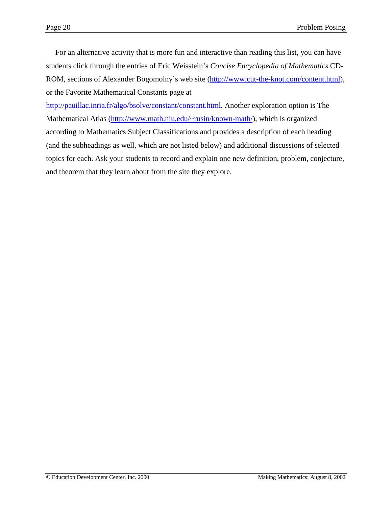For an alternative activity that is more fun and interactive than reading this list, you can have students click through the entries of Eric Weisstein's *Concise Encyclopedia of Mathematics* CD-ROM, sections of Alexander Bogomolny's web site ([http://www.cut-the-knot.com/content.html\)](http://www.cut-the-knot.com/content.html), or the Favorite Mathematical Constants page at

[http://pauillac.inria.fr/algo/bsolve/constant/constant.html.](http://pauillac.inria.fr/algo/bsolve/constant/constant.html) Another exploration option is The Mathematical Atlas [\(http://www.math.niu.edu/~rusin/known-math/\)](http://www.math.niu.edu/~rusin/known-math/), which is organized according to Mathematics Subject Classifications and provides a description of each heading (and the subheadings as well, which are not listed below) and additional discussions of selected topics for each. Ask your students to record and explain one new definition, problem, conjecture, and theorem that they learn about from the site they explore.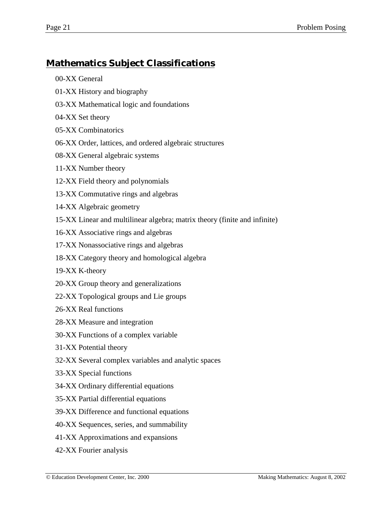# <span id="page-20-0"></span>**Mathematics Subject Classifications**

- 00-XX General
- 01-XX History and biography
- 03-XX Mathematical logic and foundations
- 04-XX Set theory
- 05-XX Combinatorics
- 06-XX Order, lattices, and ordered algebraic structures
- 08-XX General algebraic systems
- 11-XX Number theory
- 12-XX Field theory and polynomials
- 13-XX Commutative rings and algebras
- 14-XX Algebraic geometry
- 15-XX Linear and multilinear algebra; matrix theory (finite and infinite)
- 16-XX Associative rings and algebras
- 17-XX Nonassociative rings and algebras
- 18-XX Category theory and homological algebra
- 19-XX K-theory
- 20-XX Group theory and generalizations
- 22-XX Topological groups and Lie groups
- 26-XX Real functions
- 28-XX Measure and integration
- 30-XX Functions of a complex variable
- 31-XX Potential theory
- 32-XX Several complex variables and analytic spaces
- 33-XX Special functions
- 34-XX Ordinary differential equations
- 35-XX Partial differential equations
- 39-XX Difference and functional equations
- 40-XX Sequences, series, and summability
- 41-XX Approximations and expansions
- 42-XX Fourier analysis